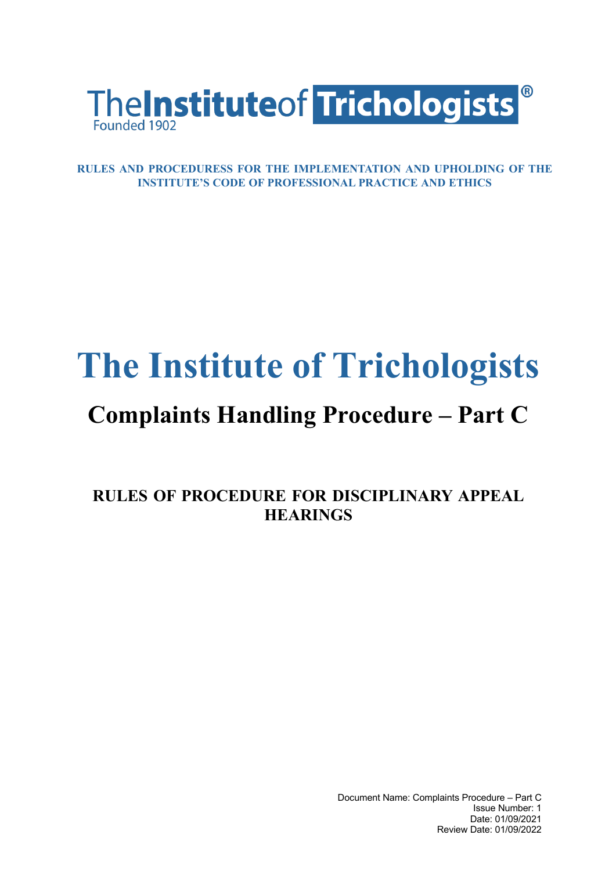

**RULES AND PROCEDURESS FOR THE IMPLEMENTATION AND UPHOLDING OF THE INSTITUTE'S CODE OF PROFESSIONAL PRACTICE AND ETHICS**

## **The Institute of Trichologists**

## **Complaints Handling Procedure – Part C**

**RULES OF PROCEDURE FOR DISCIPLINARY APPEAL HEARINGS**

> Document Name: Complaints Procedure – Part C Issue Number: 1 Date: 01/09/2021 Review Date: 01/09/2022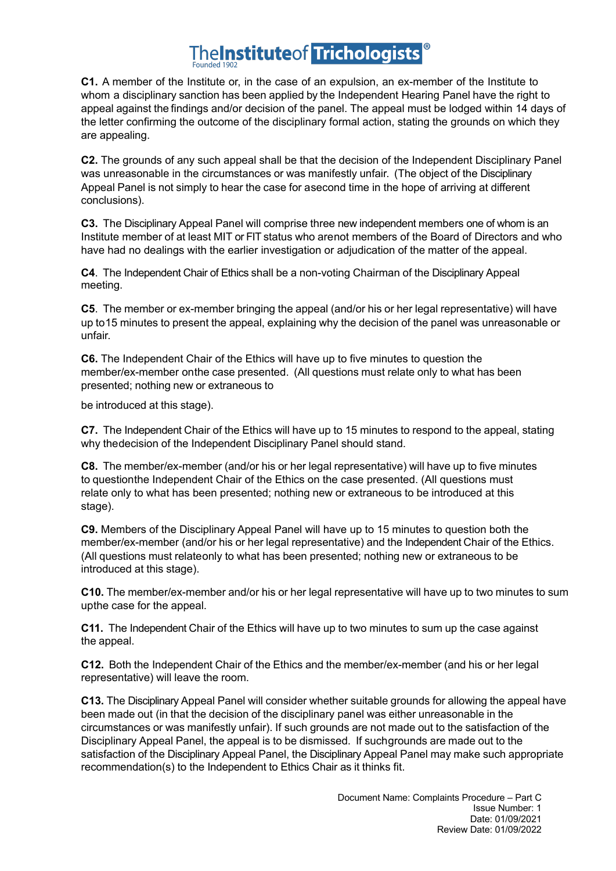## **The Institute of Trichologists**

**C1.** A member of the Institute or, in the case of an expulsion, an ex-member of the Institute to whom a disciplinary sanction has been applied by the Independent Hearing Panel have the right to appeal against the findings and/or decision of the panel. The appeal must be lodged within 14 days of the letter confirming the outcome of the disciplinary formal action, stating the grounds on which they are appealing.

**C2.** The grounds of any such appeal shall be that the decision of the Independent Disciplinary Panel was unreasonable in the circumstances or was manifestly unfair. (The object of the Disciplinary Appeal Panel is not simply to hear the case for asecond time in the hope of arriving at different conclusions).

**C3.** The Disciplinary Appeal Panel will comprise three new independent members one of whom is an Institute member of at least MIT or FIT status who arenot members of the Board of Directors and who have had no dealings with the earlier investigation or adjudication of the matter of the appeal.

**C4**. The Independent Chair of Ethics shall be a non-voting Chairman of the Disciplinary Appeal meeting.

**C5**. The member or ex-member bringing the appeal (and/or his or her legal representative) will have up to15 minutes to present the appeal, explaining why the decision of the panel was unreasonable or unfair.

**C6.** The Independent Chair of the Ethics will have up to five minutes to question the member/ex-member onthe case presented. (All questions must relate only to what has been presented; nothing new or extraneous to

be introduced at this stage).

**C7.** The Independent Chair of the Ethics will have up to 15 minutes to respond to the appeal, stating why thedecision of the Independent Disciplinary Panel should stand.

**C8.** The member/ex-member (and/or his or her legal representative) will have up to five minutes to questionthe Independent Chair of the Ethics on the case presented. (All questions must relate only to what has been presented; nothing new or extraneous to be introduced at this stage).

**C9.** Members of the Disciplinary Appeal Panel will have up to 15 minutes to question both the member/ex-member (and/or his or her legal representative) and the Independent Chair of the Ethics. (All questions must relateonly to what has been presented; nothing new or extraneous to be introduced at this stage).

**C10.** The member/ex-member and/or his or her legal representative will have up to two minutes to sum upthe case for the appeal.

**C11.** The Independent Chair of the Ethics will have up to two minutes to sum up the case against the appeal.

**C12.** Both the Independent Chair of the Ethics and the member/ex-member (and his or her legal representative) will leave the room.

**C13.** The Disciplinary Appeal Panel will consider whether suitable grounds for allowing the appeal have been made out (in that the decision of the disciplinary panel was either unreasonable in the circumstances or was manifestly unfair). If such grounds are not made out to the satisfaction of the Disciplinary Appeal Panel, the appeal is to be dismissed. If suchgrounds are made out to the satisfaction of the Disciplinary Appeal Panel, the Disciplinary Appeal Panel may make such appropriate recommendation(s) to the Independent to Ethics Chair as it thinks fit.